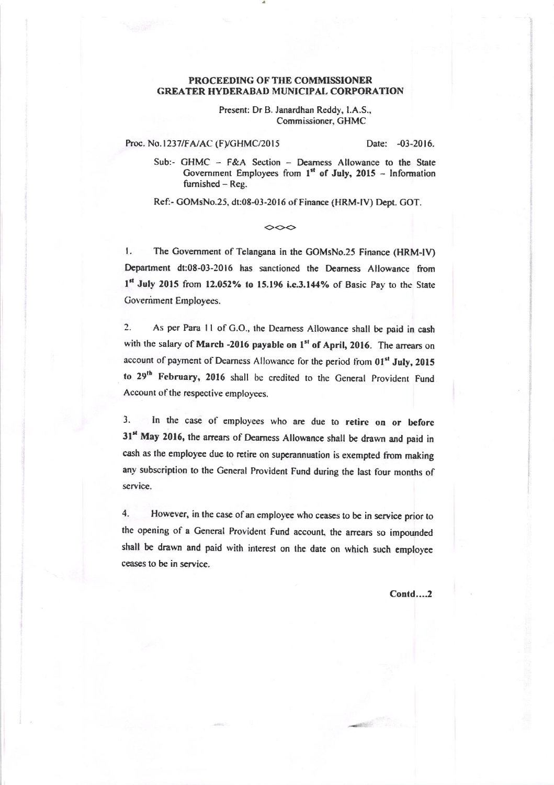# PROCEEDING OF THE COMMISSIONER **GREATER HYDERABAD MUNICIPAL CORPORATION**

Present: Dr B. Janardhan Reddy, I.A.S., Commissioner, GHMC

# Proc. No.1237/FA/AC (F)/GHMC/2015

### Date: -03-2016.

Sub:- GHMC - F&A Section - Deamess Allowance to the State Government Employees from  $1<sup>st</sup>$  of July, 2015 - Information furnished - Reg.

Ref:- GOMsNo.25, dt:08-03-2016 of Finance (HRM-IV) Dept. GOT.

#### $\diamond \diamond \diamond$

 $\mathbf{I}$ . The Government of Telangana in the GOMsNo.25 Finance (HRM-IV) Department dt:08-03-2016 has sanctioned the Dearness Allowance from 1st July 2015 from 12.052% to 15.196 i.e.3.144% of Basic Pay to the State Government Employees.

 $2.$ As per Para 11 of G.O., the Dearness Allowance shall be paid in cash with the salary of March -2016 payable on 1<sup>st</sup> of April, 2016. The arrears on account of payment of Dearness Allowance for the period from 01<sup>st</sup> July, 2015 to 29<sup>th</sup> February, 2016 shall be credited to the General Provident Fund Account of the respective employees.

 $3.$ In the case of employees who are due to retire on or before 31<sup>st</sup> May 2016, the arrears of Dearness Allowance shall be drawn and paid in cash as the employee due to retire on superannuation is exempted from making any subscription to the General Provident Fund during the last four months of service.

 $\overline{4}$ . However, in the case of an employee who ceases to be in service prior to the opening of a General Provident Fund account, the arrears so impounded shall be drawn and paid with interest on the date on which such employee ceases to be in service.

Contd....2